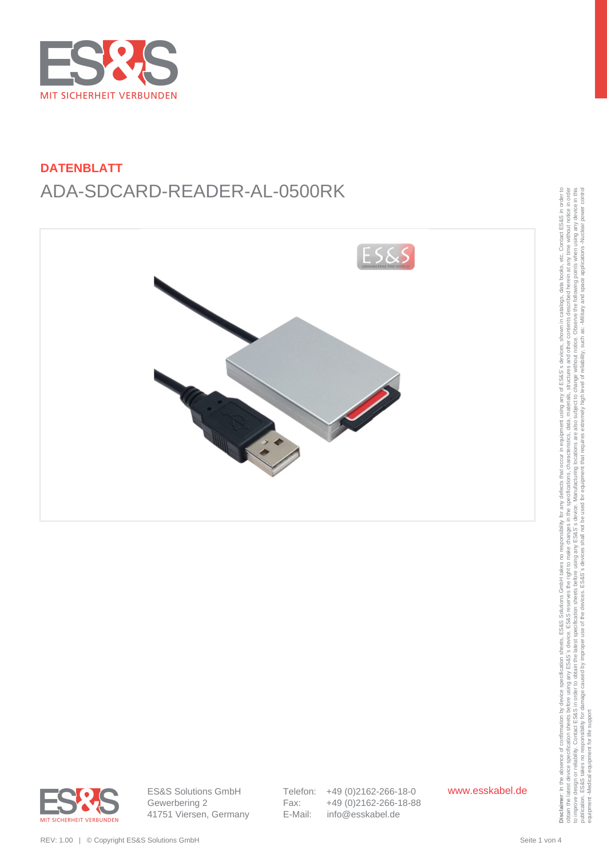







ES&S Solutions GmbH Gewerbering 2 41751 Viersen, Germany Telefon: +49 (0)2162-266-18-0 Fax: +49 (0)2162-266-18-88 E-Mail: info@esskabel.de

www.esskabel.de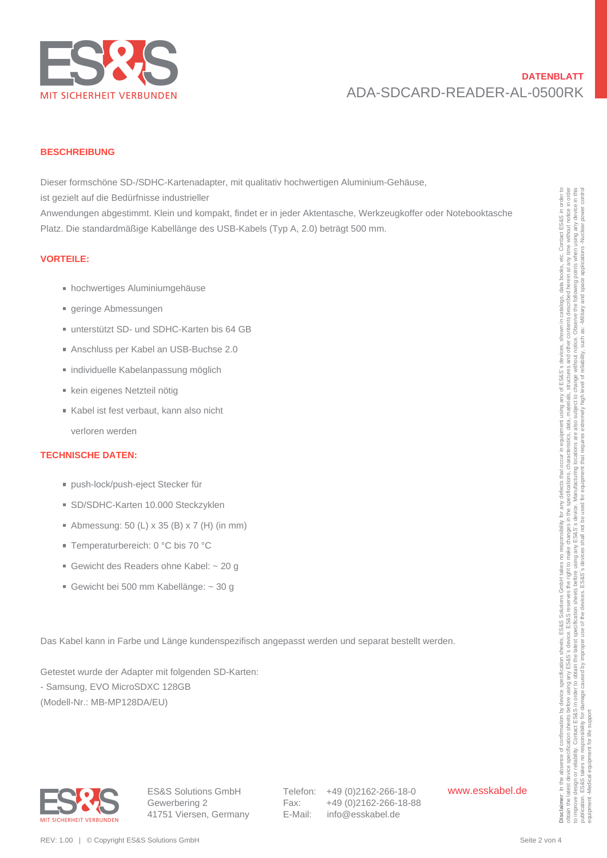

#### **BESCHREIBUNG**

Dieser formschöne SD-/SDHC-Kartenadapter, mit qualitativ hochwertigen Aluminium-Gehäuse,

ist gezielt auf die Bedürfnisse industrieller

Anwendungen abgestimmt. Klein und kompakt, findet er in jeder Aktentasche, Werkzeugkoffer oder Notebooktasche Platz. Die standardmäßige Kabellänge des USB-Kabels (Typ A, 2.0) beträgt 500 mm. is (exacts and die Bedürfterse Industrialistic method, findere in Jeden Maemizelle, Werkenscher oder Notebootstanden<br>
Hear Do shedrarminings Kaharian profiles. Finder in Jeden Maemizelle, Werkenscher Poisite and Noteboots

#### **VORTEILE:**

- hochwertiges Aluminiumgehäuse
- geringe Abmessungen
- unterstützt SD- und SDHC-Karten bis 64 GB
- Anschluss per Kabel an USB-Buchse 2.0
- individuelle Kabelanpassung möglich
- kein eigenes Netzteil nötig
- Kabel ist fest verbaut, kann also nicht
- verloren werden

#### **TECHNISCHE DATEN:**

- push-lock/push-eject Stecker für
- SD/SDHC-Karten 10.000 Steckzyklen
- Abmessung: 50 (L)  $\times$  35 (B)  $\times$  7 (H) (in mm)
- Temperaturbereich: 0 °C bis 70 °C
- Gewicht des Readers ohne Kabel: ~ 20 g
- Gewicht bei 500 mm Kabellänge: ~ 30 g

Das Kabel kann in Farbe und Länge kundenspezifisch angepasst werden und separat bestellt werden.

Getestet wurde der Adapter mit folgenden SD-Karten:

- Samsung, EVO MicroSDXC 128GB

(Modell-Nr.: MB-MP128DA/EU)



Telefon: +49 (0)2162-266-18-0 Fax: +49 (0)2162-266-18-88 E-Mail: info@esskabel.de

www.esskabel.de

obtain the latest device specification sheets before using any ES&S' searce. ES&S reserves the right to make changes in the specifications, characteristics, data, materials, structures and other contents described herein a to improve design or reliability. Contact ESS&S in order to obtain the latest specification sheets before using any arge before using any arges before using any arges before the Sales is device. Manufacturing locations, th publication. ES&S takes no responsibility for damage caused by improper use of the devices. ES&S's devices shall not be used for equipment that requires extremely high level of reliability, such as: Alliliary and space app equipment -Medical equipment for life support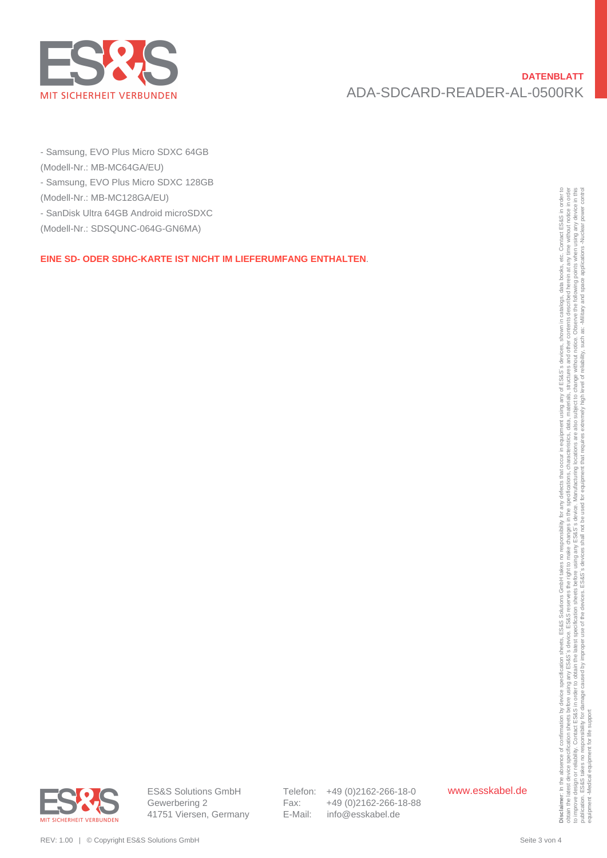

- Samsung, EVO Plus Micro SDXC 64GB
- (Modell-Nr.: MB-MC64GA/EU)
- Samsung, EVO Plus Micro SDXC 128GB
- (Modell-Nr.: MB-MC128GA/EU)
- SanDisk Ultra 64GB Android microSDXC
- (Modell-Nr.: SDSQUNC-064G-GN6MA)

### **EINE SD- ODER SDHC-KARTE IST NICHT IM LIEFERUMFANG ENTHALTEN**.



Telefon: +49 (0)2162-266-18-0 Fax: +49 (0)2162-266-18-88 E-Mail: info@esskabel.de

www.esskabel.de